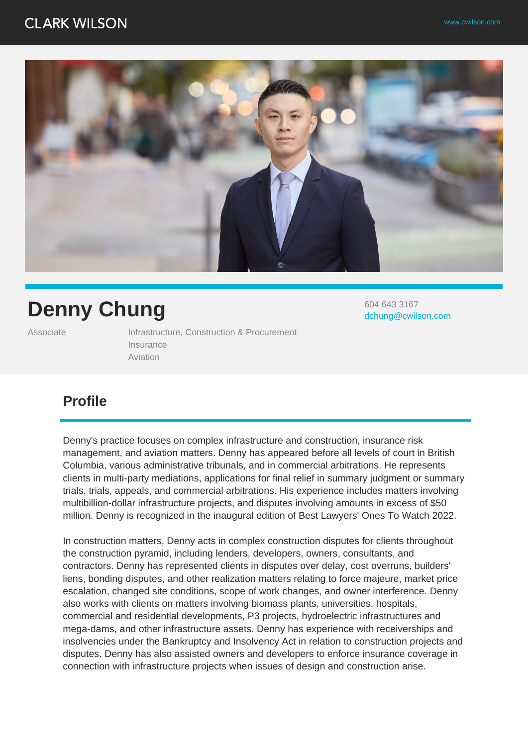# **CLARK WILSON**



# **Denny Chung**

Associate **Infrastructure, Construction & Procurement** Insurance Aviation

604 643 3167 dchung@cwilson.com

# **Profile**

Denny's practice focuses on complex infrastructure and construction, insurance risk management, and aviation matters. Denny has appeared before all levels of court in British Columbia, various administrative tribunals, and in commercial arbitrations. He represents clients in multi-party mediations, applications for final relief in summary judgment or summary trials, trials, appeals, and commercial arbitrations. His experience includes matters involving multibillion-dollar infrastructure projects, and disputes involving amounts in excess of \$50 million. Denny is recognized in the inaugural edition of Best Lawyers' Ones To Watch 2022.

In construction matters, Denny acts in complex construction disputes for clients throughout the construction pyramid, including lenders, developers, owners, consultants, and contractors. Denny has represented clients in disputes over delay, cost overruns, builders' liens, bonding disputes, and other realization matters relating to force majeure, market price escalation, changed site conditions, scope of work changes, and owner interference. Denny also works with clients on matters involving biomass plants, universities, hospitals, commercial and residential developments, P3 projects, hydroelectric infrastructures and mega-dams, and other infrastructure assets. Denny has experience with receiverships and insolvencies under the Bankruptcy and Insolvency Act in relation to construction projects and disputes. Denny has also assisted owners and developers to enforce insurance coverage in connection with infrastructure projects when issues of design and construction arise.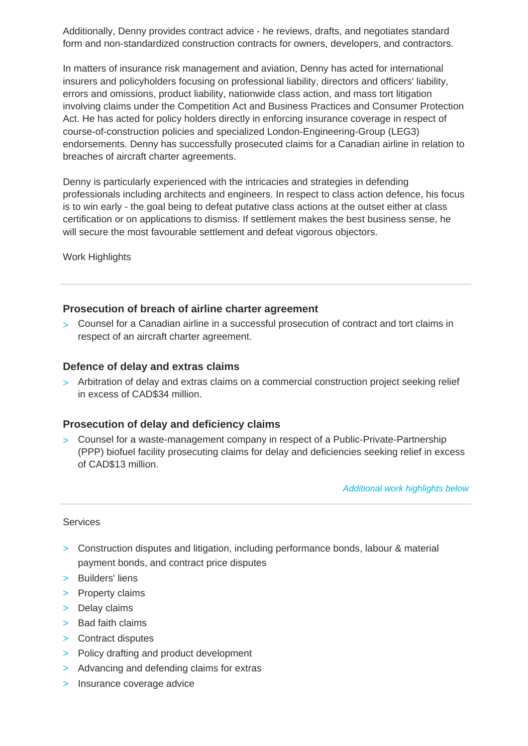Additionally, Denny provides contract advice - he reviews, drafts, and negotiates standard form and non-standardized construction contracts for owners, developers, and contractors.

In matters of insurance risk management and aviation, Denny has acted for international insurers and policyholders focusing on professional liability, directors and officers' liability, errors and omissions, product liability, nationwide class action, and mass tort litigation involving claims under the Competition Act and Business Practices and Consumer Protection Act. He has acted for policy holders directly in enforcing insurance coverage in respect of course-of-construction policies and specialized London-Engineering-Group (LEG3) endorsements. Denny has successfully prosecuted claims for a Canadian airline in relation to breaches of aircraft charter agreements.

Denny is particularly experienced with the intricacies and strategies in defending professionals including architects and engineers. In respect to class action defence, his focus is to win early - the goal being to defeat putative class actions at the outset either at class certification or on applications to dismiss. If settlement makes the best business sense, he will secure the most favourable settlement and defeat vigorous objectors.

Work Highlights

### **Prosecution of breach of airline charter agreement**

> Counsel for a Canadian airline in a successful prosecution of contract and tort claims in respect of an aircraft charter agreement.

### **Defence of delay and extras claims**

> Arbitration of delay and extras claims on a commercial construction project seeking relief in excess of CAD\$34 million.

### **Prosecution of delay and deficiency claims**

> Counsel for a waste-management company in respect of a Public-Private-Partnership (PPP) biofuel facility prosecuting claims for delay and deficiencies seeking relief in excess of CAD\$13 million.

Additional work highlights below

#### Services

- > Construction disputes and litigation, including performance bonds, labour & material payment bonds, and contract price disputes
- > Builders' liens
- > Property claims
- > Delay claims
- > Bad faith claims
- > Contract disputes
- > Policy drafting and product development
- > Advancing and defending claims for extras
- > Insurance coverage advice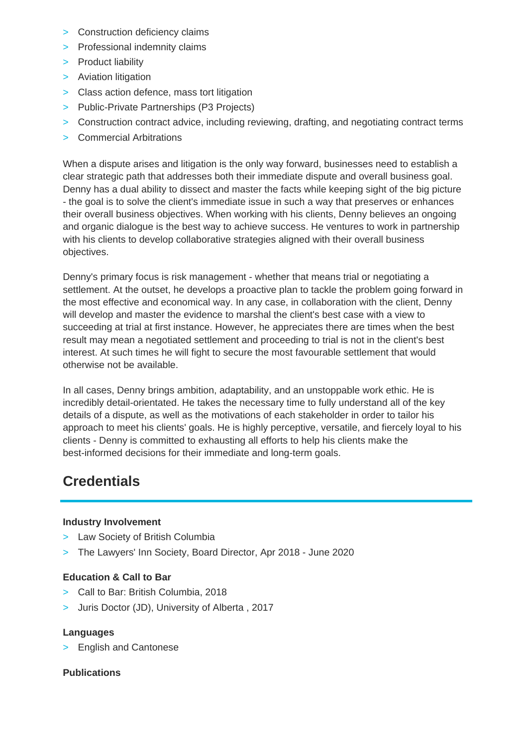- > Construction deficiency claims
- > Professional indemnity claims
- > Product liability
- > Aviation litigation
- > Class action defence, mass tort litigation
- > Public-Private Partnerships (P3 Projects)
- > Construction contract advice, including reviewing, drafting, and negotiating contract terms
- > Commercial Arbitrations

When a dispute arises and litigation is the only way forward, businesses need to establish a clear strategic path that addresses both their immediate dispute and overall business goal. Denny has a dual ability to dissect and master the facts while keeping sight of the big picture - the goal is to solve the client's immediate issue in such a way that preserves or enhances their overall business objectives. When working with his clients, Denny believes an ongoing and organic dialogue is the best way to achieve success. He ventures to work in partnership with his clients to develop collaborative strategies aligned with their overall business objectives.

Denny's primary focus is risk management - whether that means trial or negotiating a settlement. At the outset, he develops a proactive plan to tackle the problem going forward in the most effective and economical way. In any case, in collaboration with the client, Denny will develop and master the evidence to marshal the client's best case with a view to succeeding at trial at first instance. However, he appreciates there are times when the best result may mean a negotiated settlement and proceeding to trial is not in the client's best interest. At such times he will fight to secure the most favourable settlement that would otherwise not be available.

In all cases, Denny brings ambition, adaptability, and an unstoppable work ethic. He is incredibly detail-orientated. He takes the necessary time to fully understand all of the key details of a dispute, as well as the motivations of each stakeholder in order to tailor his approach to meet his clients' goals. He is highly perceptive, versatile, and fiercely loyal to his clients - Denny is committed to exhausting all efforts to help his clients make the best-informed decisions for their immediate and long-term goals.

# **Credentials**

#### **Industry Involvement**

- > Law Society of British Columbia
- > The Lawyers' Inn Society, Board Director, Apr 2018 June 2020

### **Education & Call to Bar**

- > Call to Bar: British Columbia, 2018
- > Juris Doctor (JD), University of Alberta , 2017

#### **Languages**

> English and Cantonese

#### **Publications**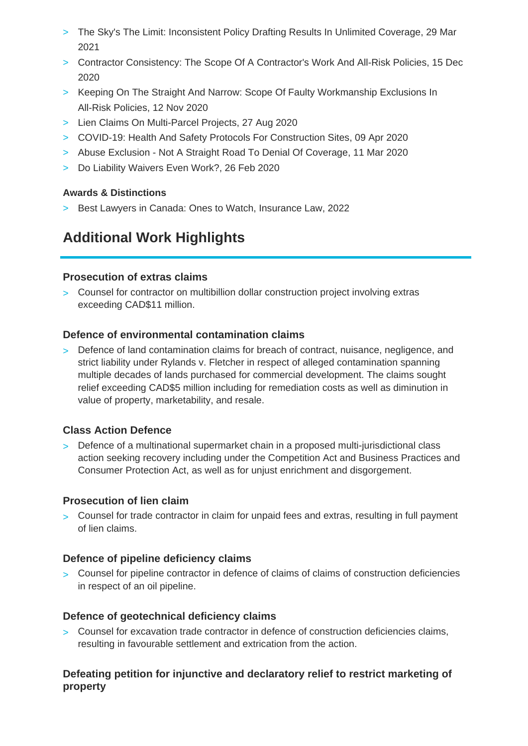- > The Sky's The Limit: Inconsistent Policy Drafting Results In Unlimited Coverage, 29 Mar 2021
- > Contractor Consistency: The Scope Of A Contractor's Work And All-Risk Policies, 15 Dec 2020
- > Keeping On The Straight And Narrow: Scope Of Faulty Workmanship Exclusions In All-Risk Policies, 12 Nov 2020
- > Lien Claims On Multi-Parcel Projects, 27 Aug 2020
- > COVID-19: Health And Safety Protocols For Construction Sites, 09 Apr 2020
- > Abuse Exclusion Not A Straight Road To Denial Of Coverage, 11 Mar 2020
- > Do Liability Waivers Even Work?, 26 Feb 2020

## **Awards & Distinctions**

> Best Lawyers in Canada: Ones to Watch, Insurance Law, 2022

# **Additional Work Highlights**

### **Prosecution of extras claims**

> Counsel for contractor on multibillion dollar construction project involving extras exceeding CAD\$11 million.

## **Defence of environmental contamination claims**

> Defence of land contamination claims for breach of contract, nuisance, negligence, and strict liability under Rylands v. Fletcher in respect of alleged contamination spanning multiple decades of lands purchased for commercial development. The claims sought relief exceeding CAD\$5 million including for remediation costs as well as diminution in value of property, marketability, and resale.

# **Class Action Defence**

> Defence of a multinational supermarket chain in a proposed multi-jurisdictional class action seeking recovery including under the Competition Act and Business Practices and Consumer Protection Act, as well as for unjust enrichment and disgorgement.

## **Prosecution of lien claim**

> Counsel for trade contractor in claim for unpaid fees and extras, resulting in full payment of lien claims.

## **Defence of pipeline deficiency claims**

> Counsel for pipeline contractor in defence of claims of claims of construction deficiencies in respect of an oil pipeline.

## **Defence of geotechnical deficiency claims**

> Counsel for excavation trade contractor in defence of construction deficiencies claims, resulting in favourable settlement and extrication from the action.

# **Defeating petition for injunctive and declaratory relief to restrict marketing of property**